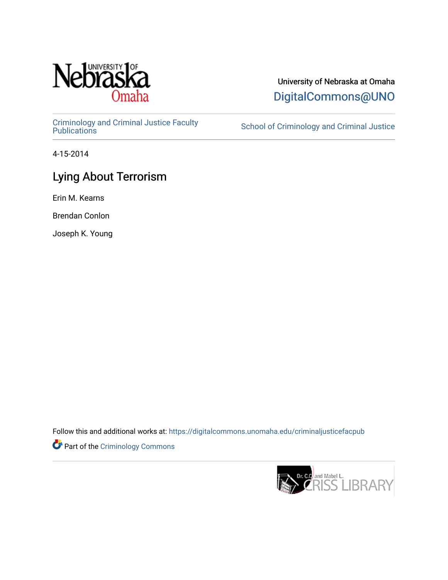

# University of Nebraska at Omaha [DigitalCommons@UNO](https://digitalcommons.unomaha.edu/)

[Criminology and Criminal Justice Faculty](https://digitalcommons.unomaha.edu/criminaljusticefacpub)

School of Criminology and Criminal Justice

4-15-2014

# Lying About Terrorism

Erin M. Kearns

Brendan Conlon

Joseph K. Young

Follow this and additional works at: [https://digitalcommons.unomaha.edu/criminaljusticefacpub](https://digitalcommons.unomaha.edu/criminaljusticefacpub?utm_source=digitalcommons.unomaha.edu%2Fcriminaljusticefacpub%2F121&utm_medium=PDF&utm_campaign=PDFCoverPages) 

Part of the [Criminology Commons](https://network.bepress.com/hgg/discipline/417?utm_source=digitalcommons.unomaha.edu%2Fcriminaljusticefacpub%2F121&utm_medium=PDF&utm_campaign=PDFCoverPages) 

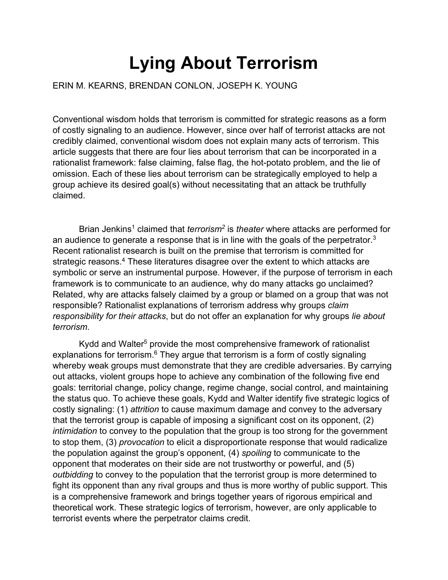# **Lying About Terrorism**

ERIN M. KEARNS, BRENDAN CONLON, JOSEPH K. YOUNG

Conventional wisdom holds that terrorism is committed for strategic reasons as a form of costly signaling to an audience. However, since over half of terrorist attacks are not credibly claimed, conventional wisdom does not explain many acts of terrorism. This article suggests that there are four lies about terrorism that can be incorporated in a rationalist framework: false claiming, false flag, the hot-potato problem, and the lie of omission. Each of these lies about terrorism can be strategically employed to help a group achieve its desired goal(s) without necessitating that an attack be truthfully claimed.

Brian Jenkins<sup>1</sup> claimed that *terrorism<sup>2</sup>* is *theater* where attacks are performed for an audience to generate a response that is in line with the goals of the perpetrator.<sup>3</sup> Recent rationalist research is built on the premise that terrorism is committed for strategic reasons.<sup>4</sup> These literatures disagree over the extent to which attacks are symbolic or serve an instrumental purpose. However, if the purpose of terrorism in each framework is to communicate to an audience, why do many attacks go unclaimed? Related, why are attacks falsely claimed by a group or blamed on a group that was not responsible? Rationalist explanations of terrorism address why groups *claim responsibility for their attacks*, but do not offer an explanation for why groups *lie about terrorism*.

Kydd and Walter<sup>5</sup> provide the most comprehensive framework of rationalist explanations for terrorism. $6$  They argue that terrorism is a form of costly signaling whereby weak groups must demonstrate that they are credible adversaries. By carrying out attacks, violent groups hope to achieve any combination of the following five end goals: territorial change, policy change, regime change, social control, and maintaining the status quo. To achieve these goals, Kydd and Walter identify five strategic logics of costly signaling: (1) *attrition* to cause maximum damage and convey to the adversary that the terrorist group is capable of imposing a significant cost on its opponent, (2) *intimidation* to convey to the population that the group is too strong for the government to stop them, (3) *provocation* to elicit a disproportionate response that would radicalize the population against the group's opponent, (4) *spoiling* to communicate to the opponent that moderates on their side are not trustworthy or powerful, and (5) *outbidding* to convey to the population that the terrorist group is more determined to fight its opponent than any rival groups and thus is more worthy of public support. This is a comprehensive framework and brings together years of rigorous empirical and theoretical work. These strategic logics of terrorism, however, are only applicable to terrorist events where the perpetrator claims credit.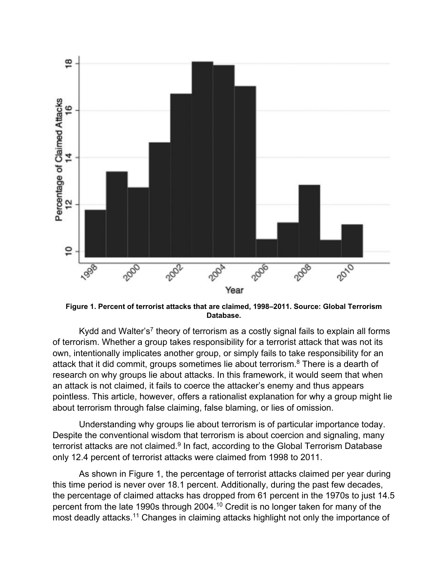

**Figure 1. Percent of terrorist attacks that are claimed, 1998–2011. Source: Global Terrorism Database.**

Kydd and Walter's<sup>7</sup> theory of terrorism as a costly signal fails to explain all forms of terrorism. Whether a group takes responsibility for a terrorist attack that was not its own, intentionally implicates another group, or simply fails to take responsibility for an attack that it did commit, groups sometimes lie about terrorism.<sup>8</sup> There is a dearth of research on why groups lie about attacks. In this framework, it would seem that when an attack is not claimed, it fails to coerce the attacker's enemy and thus appears pointless. This article, however, offers a rationalist explanation for why a group might lie about terrorism through false claiming, false blaming, or lies of omission.

Understanding why groups lie about terrorism is of particular importance today. Despite the conventional wisdom that terrorism is about coercion and signaling, many terrorist attacks are not claimed.<sup>9</sup> In fact, according to the Global Terrorism Database only 12.4 percent of terrorist attacks were claimed from 1998 to 2011.

As shown in Figure 1, the percentage of terrorist attacks claimed per year during this time period is never over 18.1 percent. Additionally, during the past few decades, the percentage of claimed attacks has dropped from 61 percent in the 1970s to just 14.5 percent from the late 1990s through 2004.10 Credit is no longer taken for many of the most deadly attacks.<sup>11</sup> Changes in claiming attacks highlight not only the importance of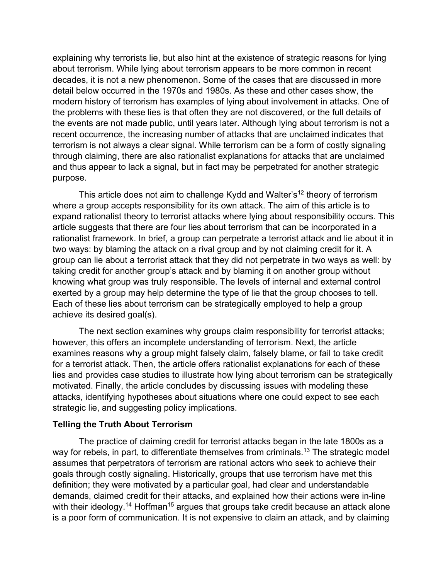explaining why terrorists lie, but also hint at the existence of strategic reasons for lying about terrorism. While lying about terrorism appears to be more common in recent decades, it is not a new phenomenon. Some of the cases that are discussed in more detail below occurred in the 1970s and 1980s. As these and other cases show, the modern history of terrorism has examples of lying about involvement in attacks. One of the problems with these lies is that often they are not discovered, or the full details of the events are not made public, until years later. Although lying about terrorism is not a recent occurrence, the increasing number of attacks that are unclaimed indicates that terrorism is not always a clear signal. While terrorism can be a form of costly signaling through claiming, there are also rationalist explanations for attacks that are unclaimed and thus appear to lack a signal, but in fact may be perpetrated for another strategic purpose.

This article does not aim to challenge Kydd and Walter's<sup>12</sup> theory of terrorism where a group accepts responsibility for its own attack. The aim of this article is to expand rationalist theory to terrorist attacks where lying about responsibility occurs. This article suggests that there are four lies about terrorism that can be incorporated in a rationalist framework. In brief, a group can perpetrate a terrorist attack and lie about it in two ways: by blaming the attack on a rival group and by not claiming credit for it. A group can lie about a terrorist attack that they did not perpetrate in two ways as well: by taking credit for another group's attack and by blaming it on another group without knowing what group was truly responsible. The levels of internal and external control exerted by a group may help determine the type of lie that the group chooses to tell. Each of these lies about terrorism can be strategically employed to help a group achieve its desired goal(s).

The next section examines why groups claim responsibility for terrorist attacks; however, this offers an incomplete understanding of terrorism. Next, the article examines reasons why a group might falsely claim, falsely blame, or fail to take credit for a terrorist attack. Then, the article offers rationalist explanations for each of these lies and provides case studies to illustrate how lying about terrorism can be strategically motivated. Finally, the article concludes by discussing issues with modeling these attacks, identifying hypotheses about situations where one could expect to see each strategic lie, and suggesting policy implications.

#### **Telling the Truth About Terrorism**

The practice of claiming credit for terrorist attacks began in the late 1800s as a way for rebels, in part, to differentiate themselves from criminals.<sup>13</sup> The strategic model assumes that perpetrators of terrorism are rational actors who seek to achieve their goals through costly signaling. Historically, groups that use terrorism have met this definition; they were motivated by a particular goal, had clear and understandable demands, claimed credit for their attacks, and explained how their actions were in-line with their ideology.<sup>14</sup> Hoffman<sup>15</sup> argues that groups take credit because an attack alone is a poor form of communication. It is not expensive to claim an attack, and by claiming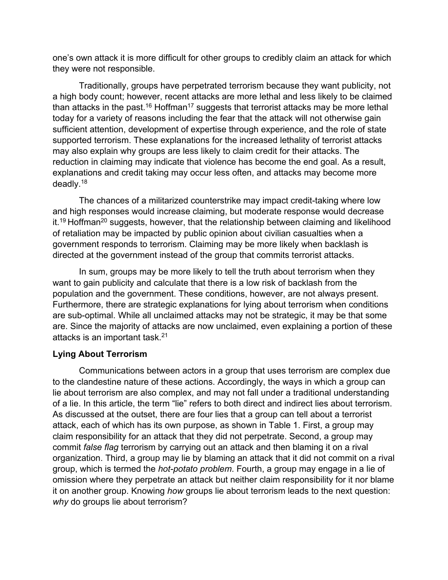one's own attack it is more difficult for other groups to credibly claim an attack for which they were not responsible.

Traditionally, groups have perpetrated terrorism because they want publicity, not a high body count; however, recent attacks are more lethal and less likely to be claimed than attacks in the past.<sup>16</sup> Hoffman<sup>17</sup> suggests that terrorist attacks may be more lethal today for a variety of reasons including the fear that the attack will not otherwise gain sufficient attention, development of expertise through experience, and the role of state supported terrorism. These explanations for the increased lethality of terrorist attacks may also explain why groups are less likely to claim credit for their attacks. The reduction in claiming may indicate that violence has become the end goal. As a result, explanations and credit taking may occur less often, and attacks may become more deadly.18

The chances of a militarized counterstrike may impact credit-taking where low and high responses would increase claiming, but moderate response would decrease  $it$ <sup>19</sup> Hoffman<sup>20</sup> suggests, however, that the relationship between claiming and likelihood of retaliation may be impacted by public opinion about civilian casualties when a government responds to terrorism. Claiming may be more likely when backlash is directed at the government instead of the group that commits terrorist attacks.

In sum, groups may be more likely to tell the truth about terrorism when they want to gain publicity and calculate that there is a low risk of backlash from the population and the government. These conditions, however, are not always present. Furthermore, there are strategic explanations for lying about terrorism when conditions are sub-optimal. While all unclaimed attacks may not be strategic, it may be that some are. Since the majority of attacks are now unclaimed, even explaining a portion of these attacks is an important task.21

# **Lying About Terrorism**

Communications between actors in a group that uses terrorism are complex due to the clandestine nature of these actions. Accordingly, the ways in which a group can lie about terrorism are also complex, and may not fall under a traditional understanding of a lie. In this article, the term "lie" refers to both direct and indirect lies about terrorism. As discussed at the outset, there are four lies that a group can tell about a terrorist attack, each of which has its own purpose, as shown in Table 1. First, a group may claim responsibility for an attack that they did not perpetrate. Second, a group may commit *false flag* terrorism by carrying out an attack and then blaming it on a rival organization. Third, a group may lie by blaming an attack that it did not commit on a rival group, which is termed the *hot-potato problem*. Fourth, a group may engage in a lie of omission where they perpetrate an attack but neither claim responsibility for it nor blame it on another group. Knowing *how* groups lie about terrorism leads to the next question: *why* do groups lie about terrorism?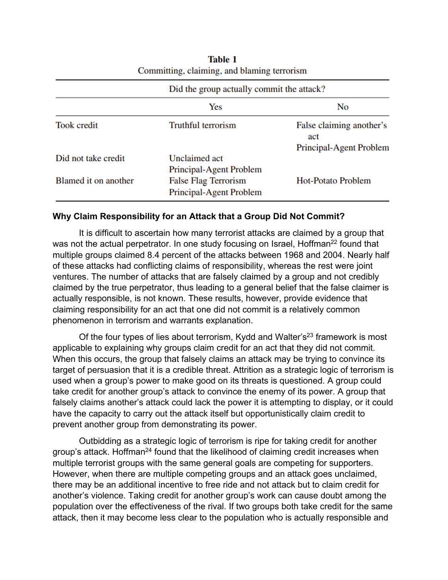|                      | Did the group actually commit the attack?              |                                 |
|----------------------|--------------------------------------------------------|---------------------------------|
|                      | Yes                                                    | No                              |
| <b>Took credit</b>   | Truthful terrorism                                     | False claiming another's<br>act |
|                      |                                                        | Principal-Agent Problem         |
| Did not take credit  | Unclaimed act                                          |                                 |
|                      | Principal-Agent Problem                                |                                 |
| Blamed it on another | <b>False Flag Terrorism</b><br>Principal-Agent Problem | <b>Hot-Potato Problem</b>       |

# **Table 1** Committing, claiming, and blaming terrorism

#### **Why Claim Responsibility for an Attack that a Group Did Not Commit?**

It is difficult to ascertain how many terrorist attacks are claimed by a group that was not the actual perpetrator. In one study focusing on Israel, Hoffman<sup>22</sup> found that multiple groups claimed 8.4 percent of the attacks between 1968 and 2004. Nearly half of these attacks had conflicting claims of responsibility, whereas the rest were joint ventures. The number of attacks that are falsely claimed by a group and not credibly claimed by the true perpetrator, thus leading to a general belief that the false claimer is actually responsible, is not known. These results, however, provide evidence that claiming responsibility for an act that one did not commit is a relatively common phenomenon in terrorism and warrants explanation.

Of the four types of lies about terrorism, Kydd and Walter's<sup>23</sup> framework is most applicable to explaining why groups claim credit for an act that they did not commit. When this occurs, the group that falsely claims an attack may be trying to convince its target of persuasion that it is a credible threat. Attrition as a strategic logic of terrorism is used when a group's power to make good on its threats is questioned. A group could take credit for another group's attack to convince the enemy of its power. A group that falsely claims another's attack could lack the power it is attempting to display, or it could have the capacity to carry out the attack itself but opportunistically claim credit to prevent another group from demonstrating its power.

Outbidding as a strategic logic of terrorism is ripe for taking credit for another group's attack. Hoffman<sup>24</sup> found that the likelihood of claiming credit increases when multiple terrorist groups with the same general goals are competing for supporters. However, when there are multiple competing groups and an attack goes unclaimed, there may be an additional incentive to free ride and not attack but to claim credit for another's violence. Taking credit for another group's work can cause doubt among the population over the effectiveness of the rival. If two groups both take credit for the same attack, then it may become less clear to the population who is actually responsible and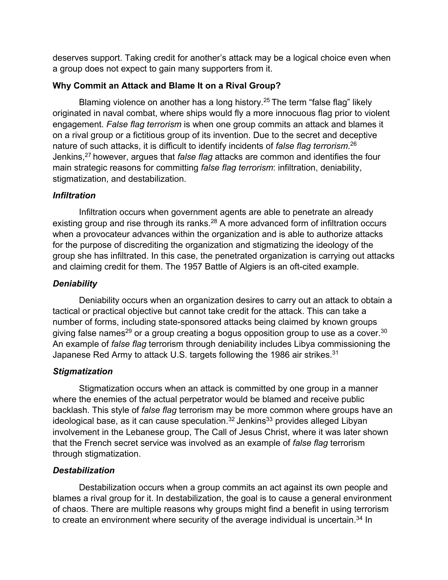deserves support. Taking credit for another's attack may be a logical choice even when a group does not expect to gain many supporters from it.

# **Why Commit an Attack and Blame It on a Rival Group?**

Blaming violence on another has a long history.<sup>25</sup> The term "false flag" likely originated in naval combat, where ships would fly a more innocuous flag prior to violent engagement. *False flag terrorism* is when one group commits an attack and blames it on a rival group or a fictitious group of its invention. Due to the secret and deceptive nature of such attacks, it is difficult to identify incidents of *false flag terrorism*. 26 Jenkins,27 however, argues that *false flag* attacks are common and identifies the four main strategic reasons for committing *false flag terrorism*: infiltration, deniability, stigmatization, and destabilization.

#### *Infiltration*

Infiltration occurs when government agents are able to penetrate an already existing group and rise through its ranks.<sup>28</sup> A more advanced form of infiltration occurs when a provocateur advances within the organization and is able to authorize attacks for the purpose of discrediting the organization and stigmatizing the ideology of the group she has infiltrated. In this case, the penetrated organization is carrying out attacks and claiming credit for them. The 1957 Battle of Algiers is an oft-cited example.

# *Deniability*

Deniability occurs when an organization desires to carry out an attack to obtain a tactical or practical objective but cannot take credit for the attack. This can take a number of forms, including state-sponsored attacks being claimed by known groups giving false names<sup>29</sup> or a group creating a bogus opposition group to use as a cover.<sup>30</sup> An example of *false flag* terrorism through deniability includes Libya commissioning the Japanese Red Army to attack U.S. targets following the 1986 air strikes.<sup>31</sup>

# *Stigmatization*

Stigmatization occurs when an attack is committed by one group in a manner where the enemies of the actual perpetrator would be blamed and receive public backlash. This style of *false flag* terrorism may be more common where groups have an ideological base, as it can cause speculation.<sup>32</sup> Jenkins<sup>33</sup> provides alleged Libyan involvement in the Lebanese group, The Call of Jesus Christ, where it was later shown that the French secret service was involved as an example of *false flag* terrorism through stigmatization.

#### *Destabilization*

Destabilization occurs when a group commits an act against its own people and blames a rival group for it. In destabilization, the goal is to cause a general environment of chaos. There are multiple reasons why groups might find a benefit in using terrorism to create an environment where security of the average individual is uncertain.<sup>34</sup> In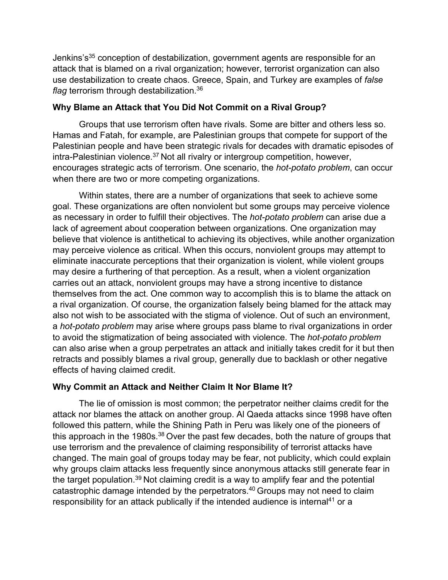Jenkins's<sup>35</sup> conception of destabilization, government agents are responsible for an attack that is blamed on a rival organization; however, terrorist organization can also use destabilization to create chaos. Greece, Spain, and Turkey are examples of *false flag* terrorism through destabilization.<sup>36</sup>

#### **Why Blame an Attack that You Did Not Commit on a Rival Group?**

Groups that use terrorism often have rivals. Some are bitter and others less so. Hamas and Fatah, for example, are Palestinian groups that compete for support of the Palestinian people and have been strategic rivals for decades with dramatic episodes of intra-Palestinian violence.37 Not all rivalry or intergroup competition, however, encourages strategic acts of terrorism. One scenario, the *hot-potato problem*, can occur when there are two or more competing organizations.

Within states, there are a number of organizations that seek to achieve some goal. These organizations are often nonviolent but some groups may perceive violence as necessary in order to fulfill their objectives. The *hot-potato problem* can arise due a lack of agreement about cooperation between organizations. One organization may believe that violence is antithetical to achieving its objectives, while another organization may perceive violence as critical. When this occurs, nonviolent groups may attempt to eliminate inaccurate perceptions that their organization is violent, while violent groups may desire a furthering of that perception. As a result, when a violent organization carries out an attack, nonviolent groups may have a strong incentive to distance themselves from the act. One common way to accomplish this is to blame the attack on a rival organization. Of course, the organization falsely being blamed for the attack may also not wish to be associated with the stigma of violence. Out of such an environment, a *hot-potato problem* may arise where groups pass blame to rival organizations in order to avoid the stigmatization of being associated with violence. The *hot-potato problem* can also arise when a group perpetrates an attack and initially takes credit for it but then retracts and possibly blames a rival group, generally due to backlash or other negative effects of having claimed credit.

# **Why Commit an Attack and Neither Claim It Nor Blame It?**

The lie of omission is most common; the perpetrator neither claims credit for the attack nor blames the attack on another group. Al Qaeda attacks since 1998 have often followed this pattern, while the Shining Path in Peru was likely one of the pioneers of this approach in the 1980s.<sup>38</sup> Over the past few decades, both the nature of groups that use terrorism and the prevalence of claiming responsibility of terrorist attacks have changed. The main goal of groups today may be fear, not publicity, which could explain why groups claim attacks less frequently since anonymous attacks still generate fear in the target population.39 Not claiming credit is a way to amplify fear and the potential catastrophic damage intended by the perpetrators.<sup>40</sup> Groups may not need to claim responsibility for an attack publically if the intended audience is internal<sup>41</sup> or a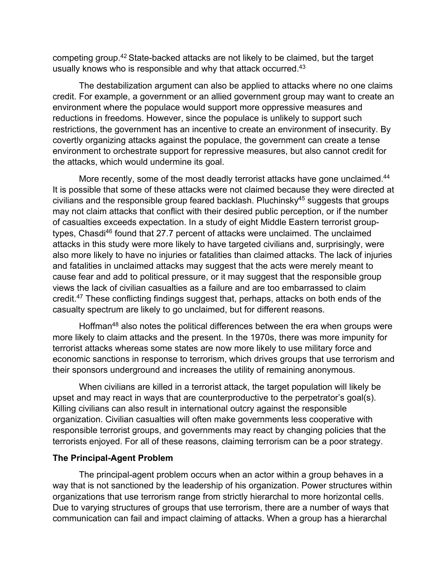competing group.42 State-backed attacks are not likely to be claimed, but the target usually knows who is responsible and why that attack occurred.<sup>43</sup>

The destabilization argument can also be applied to attacks where no one claims credit. For example, a government or an allied government group may want to create an environment where the populace would support more oppressive measures and reductions in freedoms. However, since the populace is unlikely to support such restrictions, the government has an incentive to create an environment of insecurity. By covertly organizing attacks against the populace, the government can create a tense environment to orchestrate support for repressive measures, but also cannot credit for the attacks, which would undermine its goal.

More recently, some of the most deadly terrorist attacks have gone unclaimed.<sup>44</sup> It is possible that some of these attacks were not claimed because they were directed at civilians and the responsible group feared backlash. Pluchinsky<sup>45</sup> suggests that groups may not claim attacks that conflict with their desired public perception, or if the number of casualties exceeds expectation. In a study of eight Middle Eastern terrorist grouptypes, Chasdi<sup>46</sup> found that 27.7 percent of attacks were unclaimed. The unclaimed attacks in this study were more likely to have targeted civilians and, surprisingly, were also more likely to have no injuries or fatalities than claimed attacks. The lack of injuries and fatalities in unclaimed attacks may suggest that the acts were merely meant to cause fear and add to political pressure, or it may suggest that the responsible group views the lack of civilian casualties as a failure and are too embarrassed to claim credit.47 These conflicting findings suggest that, perhaps, attacks on both ends of the casualty spectrum are likely to go unclaimed, but for different reasons.

Hoffman<sup>48</sup> also notes the political differences between the era when groups were more likely to claim attacks and the present. In the 1970s, there was more impunity for terrorist attacks whereas some states are now more likely to use military force and economic sanctions in response to terrorism, which drives groups that use terrorism and their sponsors underground and increases the utility of remaining anonymous.

When civilians are killed in a terrorist attack, the target population will likely be upset and may react in ways that are counterproductive to the perpetrator's goal(s). Killing civilians can also result in international outcry against the responsible organization. Civilian casualties will often make governments less cooperative with responsible terrorist groups, and governments may react by changing policies that the terrorists enjoyed. For all of these reasons, claiming terrorism can be a poor strategy.

#### **The Principal-Agent Problem**

The principal-agent problem occurs when an actor within a group behaves in a way that is not sanctioned by the leadership of his organization. Power structures within organizations that use terrorism range from strictly hierarchal to more horizontal cells. Due to varying structures of groups that use terrorism, there are a number of ways that communication can fail and impact claiming of attacks. When a group has a hierarchal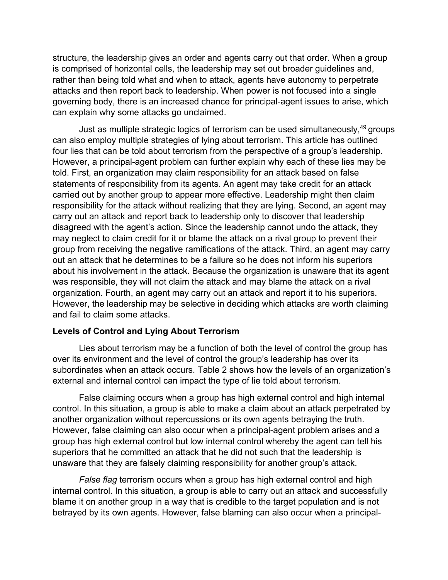structure, the leadership gives an order and agents carry out that order. When a group is comprised of horizontal cells, the leadership may set out broader guidelines and, rather than being told what and when to attack, agents have autonomy to perpetrate attacks and then report back to leadership. When power is not focused into a single governing body, there is an increased chance for principal-agent issues to arise, which can explain why some attacks go unclaimed.

Just as multiple strategic logics of terrorism can be used simultaneously,<sup>49</sup> groups can also employ multiple strategies of lying about terrorism. This article has outlined four lies that can be told about terrorism from the perspective of a group's leadership. However, a principal-agent problem can further explain why each of these lies may be told. First, an organization may claim responsibility for an attack based on false statements of responsibility from its agents. An agent may take credit for an attack carried out by another group to appear more effective. Leadership might then claim responsibility for the attack without realizing that they are lying. Second, an agent may carry out an attack and report back to leadership only to discover that leadership disagreed with the agent's action. Since the leadership cannot undo the attack, they may neglect to claim credit for it or blame the attack on a rival group to prevent their group from receiving the negative ramifications of the attack. Third, an agent may carry out an attack that he determines to be a failure so he does not inform his superiors about his involvement in the attack. Because the organization is unaware that its agent was responsible, they will not claim the attack and may blame the attack on a rival organization. Fourth, an agent may carry out an attack and report it to his superiors. However, the leadership may be selective in deciding which attacks are worth claiming and fail to claim some attacks.

#### **Levels of Control and Lying About Terrorism**

Lies about terrorism may be a function of both the level of control the group has over its environment and the level of control the group's leadership has over its subordinates when an attack occurs. Table 2 shows how the levels of an organization's external and internal control can impact the type of lie told about terrorism.

False claiming occurs when a group has high external control and high internal control. In this situation, a group is able to make a claim about an attack perpetrated by another organization without repercussions or its own agents betraying the truth. However, false claiming can also occur when a principal-agent problem arises and a group has high external control but low internal control whereby the agent can tell his superiors that he committed an attack that he did not such that the leadership is unaware that they are falsely claiming responsibility for another group's attack.

*False flag* terrorism occurs when a group has high external control and high internal control. In this situation, a group is able to carry out an attack and successfully blame it on another group in a way that is credible to the target population and is not betrayed by its own agents. However, false blaming can also occur when a principal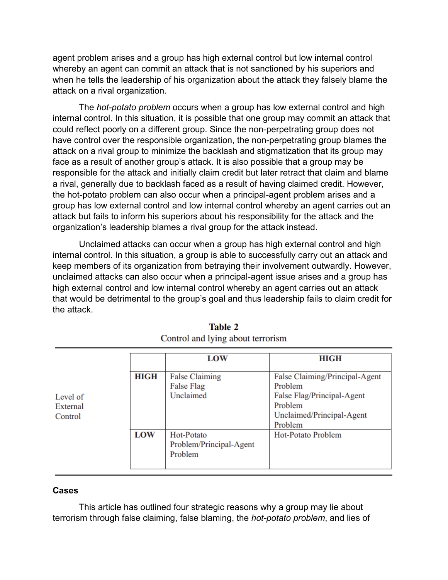agent problem arises and a group has high external control but low internal control whereby an agent can commit an attack that is not sanctioned by his superiors and when he tells the leadership of his organization about the attack they falsely blame the attack on a rival organization.

The *hot-potato problem* occurs when a group has low external control and high internal control. In this situation, it is possible that one group may commit an attack that could reflect poorly on a different group. Since the non-perpetrating group does not have control over the responsible organization, the non-perpetrating group blames the attack on a rival group to minimize the backlash and stigmatization that its group may face as a result of another group's attack. It is also possible that a group may be responsible for the attack and initially claim credit but later retract that claim and blame a rival, generally due to backlash faced as a result of having claimed credit. However, the hot-potato problem can also occur when a principal-agent problem arises and a group has low external control and low internal control whereby an agent carries out an attack but fails to inform his superiors about his responsibility for the attack and the organization's leadership blames a rival group for the attack instead.

Unclaimed attacks can occur when a group has high external control and high internal control. In this situation, a group is able to successfully carry out an attack and keep members of its organization from betraying their involvement outwardly. However, unclaimed attacks can also occur when a principal-agent issue arises and a group has high external control and low internal control whereby an agent carries out an attack that would be detrimental to the group's goal and thus leadership fails to claim credit for the attack.

|                                 |             | <b>LOW</b>                                              | <b>HIGH</b>                                                                                                                |
|---------------------------------|-------------|---------------------------------------------------------|----------------------------------------------------------------------------------------------------------------------------|
| Level of<br>External<br>Control | <b>HIGH</b> | <b>False Claiming</b><br><b>False Flag</b><br>Unclaimed | False Claiming/Principal-Agent<br>Problem<br>False Flag/Principal-Agent<br>Problem<br>Unclaimed/Principal-Agent<br>Problem |
|                                 | <b>LOW</b>  | Hot-Potato<br>Problem/Principal-Agent<br>Problem        | <b>Hot-Potato Problem</b>                                                                                                  |

Table 2 Control and lying about terrorism

#### **Cases**

This article has outlined four strategic reasons why a group may lie about terrorism through false claiming, false blaming, the *hot-potato problem*, and lies of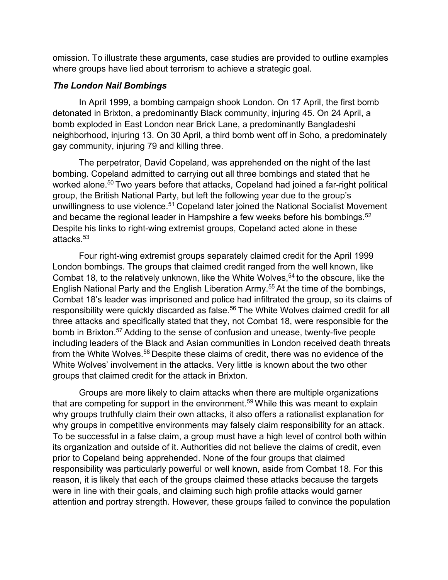omission. To illustrate these arguments, case studies are provided to outline examples where groups have lied about terrorism to achieve a strategic goal.

#### *The London Nail Bombings*

In April 1999, a bombing campaign shook London. On 17 April, the first bomb detonated in Brixton, a predominantly Black community, injuring 45. On 24 April, a bomb exploded in East London near Brick Lane, a predominantly Bangladeshi neighborhood, injuring 13. On 30 April, a third bomb went off in Soho, a predominately gay community, injuring 79 and killing three.

The perpetrator, David Copeland, was apprehended on the night of the last bombing. Copeland admitted to carrying out all three bombings and stated that he worked alone.<sup>50</sup> Two years before that attacks, Copeland had joined a far-right political group, the British National Party, but left the following year due to the group's unwillingness to use violence.<sup>51</sup> Copeland later joined the National Socialist Movement and became the regional leader in Hampshire a few weeks before his bombings.<sup>52</sup> Despite his links to right-wing extremist groups, Copeland acted alone in these attacks.53

Four right-wing extremist groups separately claimed credit for the April 1999 London bombings. The groups that claimed credit ranged from the well known, like Combat 18, to the relatively unknown, like the White Wolves,<sup>54</sup> to the obscure, like the English National Party and the English Liberation Army.55 At the time of the bombings, Combat 18's leader was imprisoned and police had infiltrated the group, so its claims of responsibility were quickly discarded as false.<sup>56</sup> The White Wolves claimed credit for all three attacks and specifically stated that they, not Combat 18, were responsible for the bomb in Brixton.57 Adding to the sense of confusion and unease, twenty-five people including leaders of the Black and Asian communities in London received death threats from the White Wolves.<sup>58</sup> Despite these claims of credit, there was no evidence of the White Wolves' involvement in the attacks. Very little is known about the two other groups that claimed credit for the attack in Brixton.

Groups are more likely to claim attacks when there are multiple organizations that are competing for support in the environment.<sup>59</sup> While this was meant to explain why groups truthfully claim their own attacks, it also offers a rationalist explanation for why groups in competitive environments may falsely claim responsibility for an attack. To be successful in a false claim, a group must have a high level of control both within its organization and outside of it. Authorities did not believe the claims of credit, even prior to Copeland being apprehended. None of the four groups that claimed responsibility was particularly powerful or well known, aside from Combat 18. For this reason, it is likely that each of the groups claimed these attacks because the targets were in line with their goals, and claiming such high profile attacks would garner attention and portray strength. However, these groups failed to convince the population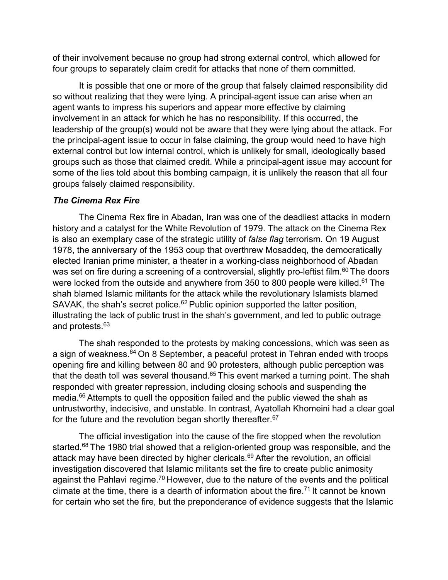of their involvement because no group had strong external control, which allowed for four groups to separately claim credit for attacks that none of them committed.

It is possible that one or more of the group that falsely claimed responsibility did so without realizing that they were lying. A principal-agent issue can arise when an agent wants to impress his superiors and appear more effective by claiming involvement in an attack for which he has no responsibility. If this occurred, the leadership of the group(s) would not be aware that they were lying about the attack. For the principal-agent issue to occur in false claiming, the group would need to have high external control but low internal control, which is unlikely for small, ideologically based groups such as those that claimed credit. While a principal-agent issue may account for some of the lies told about this bombing campaign, it is unlikely the reason that all four groups falsely claimed responsibility.

#### *The Cinema Rex Fire*

The Cinema Rex fire in Abadan, Iran was one of the deadliest attacks in modern history and a catalyst for the White Revolution of 1979. The attack on the Cinema Rex is also an exemplary case of the strategic utility of *false flag* terrorism. On 19 August 1978, the anniversary of the 1953 coup that overthrew Mosaddeq, the democratically elected Iranian prime minister, a theater in a working-class neighborhood of Abadan was set on fire during a screening of a controversial, slightly pro-leftist film.<sup>60</sup> The doors were locked from the outside and anywhere from 350 to 800 people were killed. $61$  The shah blamed Islamic militants for the attack while the revolutionary Islamists blamed SAVAK, the shah's secret police.<sup>62</sup> Public opinion supported the latter position, illustrating the lack of public trust in the shah's government, and led to public outrage and protests.63

The shah responded to the protests by making concessions, which was seen as a sign of weakness.<sup>64</sup> On 8 September, a peaceful protest in Tehran ended with troops opening fire and killing between 80 and 90 protesters, although public perception was that the death toll was several thousand.<sup>65</sup> This event marked a turning point. The shah responded with greater repression, including closing schools and suspending the media.<sup>66</sup> Attempts to quell the opposition failed and the public viewed the shah as untrustworthy, indecisive, and unstable. In contrast, Ayatollah Khomeini had a clear goal for the future and the revolution began shortly thereafter.<sup>67</sup>

The official investigation into the cause of the fire stopped when the revolution started.<sup>68</sup> The 1980 trial showed that a religion-oriented group was responsible, and the attack may have been directed by higher clericals.<sup>69</sup> After the revolution, an official investigation discovered that Islamic militants set the fire to create public animosity against the Pahlavi regime.<sup>70</sup> However, due to the nature of the events and the political climate at the time, there is a dearth of information about the fire.<sup>71</sup> It cannot be known for certain who set the fire, but the preponderance of evidence suggests that the Islamic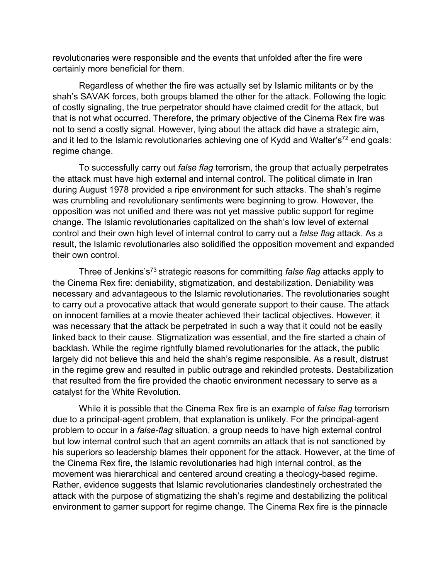revolutionaries were responsible and the events that unfolded after the fire were certainly more beneficial for them.

Regardless of whether the fire was actually set by Islamic militants or by the shah's SAVAK forces, both groups blamed the other for the attack. Following the logic of costly signaling, the true perpetrator should have claimed credit for the attack, but that is not what occurred. Therefore, the primary objective of the Cinema Rex fire was not to send a costly signal. However, lying about the attack did have a strategic aim, and it led to the Islamic revolutionaries achieving one of Kydd and Walter's<sup>72</sup> end goals: regime change.

To successfully carry out *false flag* terrorism, the group that actually perpetrates the attack must have high external and internal control. The political climate in Iran during August 1978 provided a ripe environment for such attacks. The shah's regime was crumbling and revolutionary sentiments were beginning to grow. However, the opposition was not unified and there was not yet massive public support for regime change. The Islamic revolutionaries capitalized on the shah's low level of external control and their own high level of internal control to carry out a *false flag* attack. As a result, the Islamic revolutionaries also solidified the opposition movement and expanded their own control.

Three of Jenkins's73 strategic reasons for committing *false flag* attacks apply to the Cinema Rex fire: deniability, stigmatization, and destabilization. Deniability was necessary and advantageous to the Islamic revolutionaries. The revolutionaries sought to carry out a provocative attack that would generate support to their cause. The attack on innocent families at a movie theater achieved their tactical objectives. However, it was necessary that the attack be perpetrated in such a way that it could not be easily linked back to their cause. Stigmatization was essential, and the fire started a chain of backlash. While the regime rightfully blamed revolutionaries for the attack, the public largely did not believe this and held the shah's regime responsible. As a result, distrust in the regime grew and resulted in public outrage and rekindled protests. Destabilization that resulted from the fire provided the chaotic environment necessary to serve as a catalyst for the White Revolution.

While it is possible that the Cinema Rex fire is an example of *false flag* terrorism due to a principal-agent problem, that explanation is unlikely. For the principal-agent problem to occur in a *false-flag* situation, a group needs to have high external control but low internal control such that an agent commits an attack that is not sanctioned by his superiors so leadership blames their opponent for the attack. However, at the time of the Cinema Rex fire, the Islamic revolutionaries had high internal control, as the movement was hierarchical and centered around creating a theology-based regime. Rather, evidence suggests that Islamic revolutionaries clandestinely orchestrated the attack with the purpose of stigmatizing the shah's regime and destabilizing the political environment to garner support for regime change. The Cinema Rex fire is the pinnacle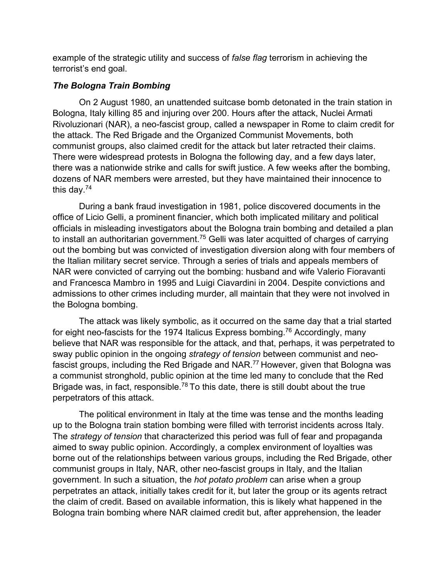example of the strategic utility and success of *false flag* terrorism in achieving the terrorist's end goal.

#### *The Bologna Train Bombing*

On 2 August 1980, an unattended suitcase bomb detonated in the train station in Bologna, Italy killing 85 and injuring over 200. Hours after the attack, Nuclei Armati Rivoluzionari (NAR), a neo-fascist group, called a newspaper in Rome to claim credit for the attack. The Red Brigade and the Organized Communist Movements, both communist groups, also claimed credit for the attack but later retracted their claims. There were widespread protests in Bologna the following day, and a few days later, there was a nationwide strike and calls for swift justice. A few weeks after the bombing, dozens of NAR members were arrested, but they have maintained their innocence to this day.74

During a bank fraud investigation in 1981, police discovered documents in the office of Licio Gelli, a prominent financier, which both implicated military and political officials in misleading investigators about the Bologna train bombing and detailed a plan to install an authoritarian government.<sup>75</sup> Gelli was later acquitted of charges of carrying out the bombing but was convicted of investigation diversion along with four members of the Italian military secret service. Through a series of trials and appeals members of NAR were convicted of carrying out the bombing: husband and wife Valerio Fioravanti and Francesca Mambro in 1995 and Luigi Ciavardini in 2004. Despite convictions and admissions to other crimes including murder, all maintain that they were not involved in the Bologna bombing.

The attack was likely symbolic, as it occurred on the same day that a trial started for eight neo-fascists for the 1974 Italicus Express bombing.<sup>76</sup> Accordingly, many believe that NAR was responsible for the attack, and that, perhaps, it was perpetrated to sway public opinion in the ongoing *strategy of tension* between communist and neofascist groups, including the Red Brigade and NAR.77 However, given that Bologna was a communist stronghold, public opinion at the time led many to conclude that the Red Brigade was, in fact, responsible.<sup>78</sup> To this date, there is still doubt about the true perpetrators of this attack.

The political environment in Italy at the time was tense and the months leading up to the Bologna train station bombing were filled with terrorist incidents across Italy. The *strategy of tension* that characterized this period was full of fear and propaganda aimed to sway public opinion. Accordingly, a complex environment of loyalties was borne out of the relationships between various groups, including the Red Brigade, other communist groups in Italy, NAR, other neo-fascist groups in Italy, and the Italian government. In such a situation, the *hot potato problem* can arise when a group perpetrates an attack, initially takes credit for it, but later the group or its agents retract the claim of credit. Based on available information, this is likely what happened in the Bologna train bombing where NAR claimed credit but, after apprehension, the leader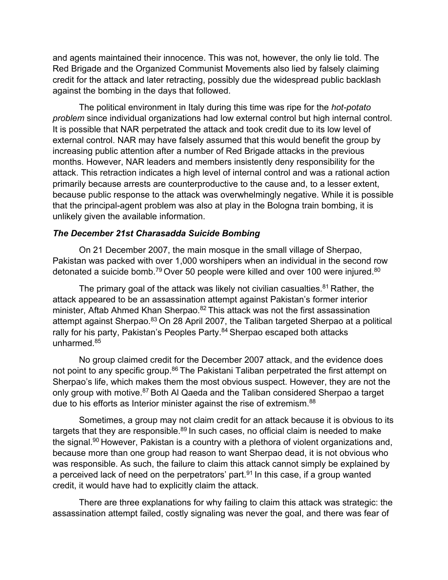and agents maintained their innocence. This was not, however, the only lie told. The Red Brigade and the Organized Communist Movements also lied by falsely claiming credit for the attack and later retracting, possibly due the widespread public backlash against the bombing in the days that followed.

The political environment in Italy during this time was ripe for the *hot-potato problem* since individual organizations had low external control but high internal control. It is possible that NAR perpetrated the attack and took credit due to its low level of external control. NAR may have falsely assumed that this would benefit the group by increasing public attention after a number of Red Brigade attacks in the previous months. However, NAR leaders and members insistently deny responsibility for the attack. This retraction indicates a high level of internal control and was a rational action primarily because arrests are counterproductive to the cause and, to a lesser extent, because public response to the attack was overwhelmingly negative. While it is possible that the principal-agent problem was also at play in the Bologna train bombing, it is unlikely given the available information.

#### *The December 21st Charasadda Suicide Bombing*

On 21 December 2007, the main mosque in the small village of Sherpao, Pakistan was packed with over 1,000 worshipers when an individual in the second row detonated a suicide bomb.<sup>79</sup> Over 50 people were killed and over 100 were injured.<sup>80</sup>

The primary goal of the attack was likely not civilian casualties.<sup>81</sup> Rather, the attack appeared to be an assassination attempt against Pakistan's former interior minister, Aftab Ahmed Khan Sherpao.<sup>82</sup> This attack was not the first assassination attempt against Sherpao.<sup>83</sup> On 28 April 2007, the Taliban targeted Sherpao at a political rally for his party, Pakistan's Peoples Party.<sup>84</sup> Sherpao escaped both attacks unharmed.85

No group claimed credit for the December 2007 attack, and the evidence does not point to any specific group.<sup>86</sup> The Pakistani Taliban perpetrated the first attempt on Sherpao's life, which makes them the most obvious suspect. However, they are not the only group with motive.<sup>87</sup> Both AI Qaeda and the Taliban considered Sherpao a target due to his efforts as Interior minister against the rise of extremism.<sup>88</sup>

Sometimes, a group may not claim credit for an attack because it is obvious to its targets that they are responsible. $89$  In such cases, no official claim is needed to make the signal.<sup>90</sup> However, Pakistan is a country with a plethora of violent organizations and, because more than one group had reason to want Sherpao dead, it is not obvious who was responsible. As such, the failure to claim this attack cannot simply be explained by a perceived lack of need on the perpetrators' part.<sup>91</sup> In this case, if a group wanted credit, it would have had to explicitly claim the attack.

There are three explanations for why failing to claim this attack was strategic: the assassination attempt failed, costly signaling was never the goal, and there was fear of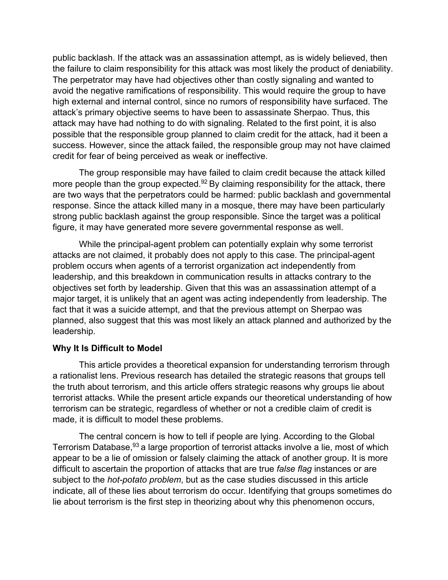public backlash. If the attack was an assassination attempt, as is widely believed, then the failure to claim responsibility for this attack was most likely the product of deniability. The perpetrator may have had objectives other than costly signaling and wanted to avoid the negative ramifications of responsibility. This would require the group to have high external and internal control, since no rumors of responsibility have surfaced. The attack's primary objective seems to have been to assassinate Sherpao. Thus, this attack may have had nothing to do with signaling. Related to the first point, it is also possible that the responsible group planned to claim credit for the attack, had it been a success. However, since the attack failed, the responsible group may not have claimed credit for fear of being perceived as weak or ineffective.

The group responsible may have failed to claim credit because the attack killed more people than the group expected.<sup>92</sup> By claiming responsibility for the attack, there are two ways that the perpetrators could be harmed: public backlash and governmental response. Since the attack killed many in a mosque, there may have been particularly strong public backlash against the group responsible. Since the target was a political figure, it may have generated more severe governmental response as well.

While the principal-agent problem can potentially explain why some terrorist attacks are not claimed, it probably does not apply to this case. The principal-agent problem occurs when agents of a terrorist organization act independently from leadership, and this breakdown in communication results in attacks contrary to the objectives set forth by leadership. Given that this was an assassination attempt of a major target, it is unlikely that an agent was acting independently from leadership. The fact that it was a suicide attempt, and that the previous attempt on Sherpao was planned, also suggest that this was most likely an attack planned and authorized by the leadership.

#### **Why It Is Difficult to Model**

This article provides a theoretical expansion for understanding terrorism through a rationalist lens. Previous research has detailed the strategic reasons that groups tell the truth about terrorism, and this article offers strategic reasons why groups lie about terrorist attacks. While the present article expands our theoretical understanding of how terrorism can be strategic, regardless of whether or not a credible claim of credit is made, it is difficult to model these problems.

The central concern is how to tell if people are lying. According to the Global Terrorism Database,  $93$  a large proportion of terrorist attacks involve a lie, most of which appear to be a lie of omission or falsely claiming the attack of another group. It is more difficult to ascertain the proportion of attacks that are true *false flag* instances or are subject to the *hot-potato problem*, but as the case studies discussed in this article indicate, all of these lies about terrorism do occur. Identifying that groups sometimes do lie about terrorism is the first step in theorizing about why this phenomenon occurs,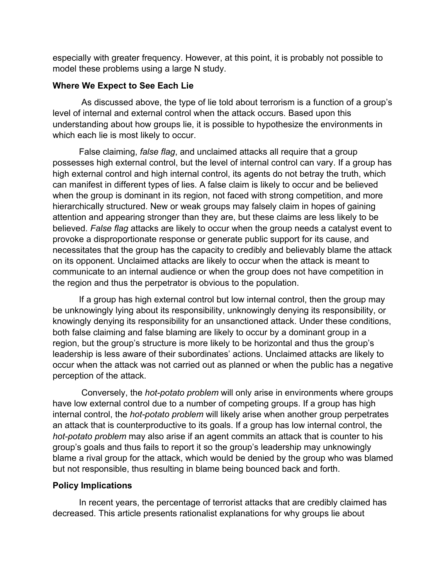especially with greater frequency. However, at this point, it is probably not possible to model these problems using a large N study.

### **Where We Expect to See Each Lie**

As discussed above, the type of lie told about terrorism is a function of a group's level of internal and external control when the attack occurs. Based upon this understanding about how groups lie, it is possible to hypothesize the environments in which each lie is most likely to occur.

False claiming, *false flag*, and unclaimed attacks all require that a group possesses high external control, but the level of internal control can vary. If a group has high external control and high internal control, its agents do not betray the truth, which can manifest in different types of lies. A false claim is likely to occur and be believed when the group is dominant in its region, not faced with strong competition, and more hierarchically structured. New or weak groups may falsely claim in hopes of gaining attention and appearing stronger than they are, but these claims are less likely to be believed. *False flag* attacks are likely to occur when the group needs a catalyst event to provoke a disproportionate response or generate public support for its cause, and necessitates that the group has the capacity to credibly and believably blame the attack on its opponent. Unclaimed attacks are likely to occur when the attack is meant to communicate to an internal audience or when the group does not have competition in the region and thus the perpetrator is obvious to the population.

If a group has high external control but low internal control, then the group may be unknowingly lying about its responsibility, unknowingly denying its responsibility, or knowingly denying its responsibility for an unsanctioned attack. Under these conditions, both false claiming and false blaming are likely to occur by a dominant group in a region, but the group's structure is more likely to be horizontal and thus the group's leadership is less aware of their subordinates' actions. Unclaimed attacks are likely to occur when the attack was not carried out as planned or when the public has a negative perception of the attack.

Conversely, the *hot-potato problem* will only arise in environments where groups have low external control due to a number of competing groups. If a group has high internal control, the *hot-potato problem* will likely arise when another group perpetrates an attack that is counterproductive to its goals. If a group has low internal control, the *hot-potato problem* may also arise if an agent commits an attack that is counter to his group's goals and thus fails to report it so the group's leadership may unknowingly blame a rival group for the attack, which would be denied by the group who was blamed but not responsible, thus resulting in blame being bounced back and forth.

#### **Policy Implications**

In recent years, the percentage of terrorist attacks that are credibly claimed has decreased. This article presents rationalist explanations for why groups lie about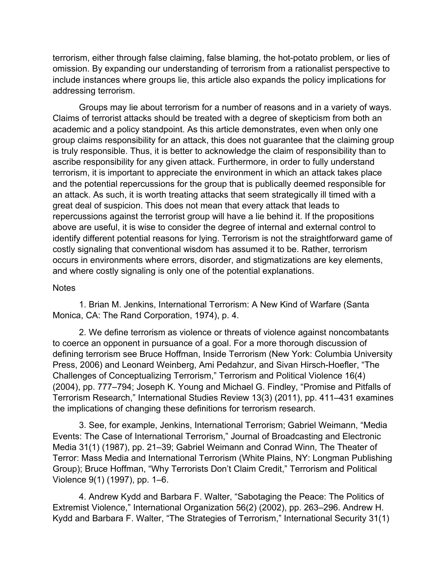terrorism, either through false claiming, false blaming, the hot-potato problem, or lies of omission. By expanding our understanding of terrorism from a rationalist perspective to include instances where groups lie, this article also expands the policy implications for addressing terrorism.

Groups may lie about terrorism for a number of reasons and in a variety of ways. Claims of terrorist attacks should be treated with a degree of skepticism from both an academic and a policy standpoint. As this article demonstrates, even when only one group claims responsibility for an attack, this does not guarantee that the claiming group is truly responsible. Thus, it is better to acknowledge the claim of responsibility than to ascribe responsibility for any given attack. Furthermore, in order to fully understand terrorism, it is important to appreciate the environment in which an attack takes place and the potential repercussions for the group that is publically deemed responsible for an attack. As such, it is worth treating attacks that seem strategically ill timed with a great deal of suspicion. This does not mean that every attack that leads to repercussions against the terrorist group will have a lie behind it. If the propositions above are useful, it is wise to consider the degree of internal and external control to identify different potential reasons for lying. Terrorism is not the straightforward game of costly signaling that conventional wisdom has assumed it to be. Rather, terrorism occurs in environments where errors, disorder, and stigmatizations are key elements, and where costly signaling is only one of the potential explanations.

#### **Notes**

1. Brian M. Jenkins, International Terrorism: A New Kind of Warfare (Santa Monica, CA: The Rand Corporation, 1974), p. 4.

2. We define terrorism as violence or threats of violence against noncombatants to coerce an opponent in pursuance of a goal. For a more thorough discussion of defining terrorism see Bruce Hoffman, Inside Terrorism (New York: Columbia University Press, 2006) and Leonard Weinberg, Ami Pedahzur, and Sivan Hirsch-Hoefler, "The Challenges of Conceptualizing Terrorism," Terrorism and Political Violence 16(4) (2004), pp. 777–794; Joseph K. Young and Michael G. Findley, "Promise and Pitfalls of Terrorism Research," International Studies Review 13(3) (2011), pp. 411–431 examines the implications of changing these definitions for terrorism research.

3. See, for example, Jenkins, International Terrorism; Gabriel Weimann, "Media Events: The Case of International Terrorism," Journal of Broadcasting and Electronic Media 31(1) (1987), pp. 21–39; Gabriel Weimann and Conrad Winn, The Theater of Terror: Mass Media and International Terrorism (White Plains, NY: Longman Publishing Group); Bruce Hoffman, "Why Terrorists Don't Claim Credit," Terrorism and Political Violence 9(1) (1997), pp. 1–6.

4. Andrew Kydd and Barbara F. Walter, "Sabotaging the Peace: The Politics of Extremist Violence," International Organization 56(2) (2002), pp. 263–296. Andrew H. Kydd and Barbara F. Walter, "The Strategies of Terrorism," International Security 31(1)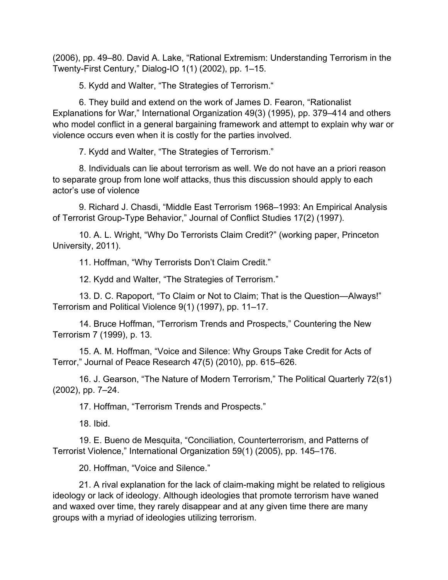(2006), pp. 49–80. David A. Lake, "Rational Extremism: Understanding Terrorism in the Twenty-First Century," Dialog-IO 1(1) (2002), pp. 1–15.

5. Kydd and Walter, "The Strategies of Terrorism."

6. They build and extend on the work of James D. Fearon, "Rationalist Explanations for War," International Organization 49(3) (1995), pp. 379–414 and others who model conflict in a general bargaining framework and attempt to explain why war or violence occurs even when it is costly for the parties involved.

7. Kydd and Walter, "The Strategies of Terrorism."

8. Individuals can lie about terrorism as well. We do not have an a priori reason to separate group from lone wolf attacks, thus this discussion should apply to each actor's use of violence

9. Richard J. Chasdi, "Middle East Terrorism 1968–1993: An Empirical Analysis of Terrorist Group-Type Behavior," Journal of Conflict Studies 17(2) (1997).

10. A. L. Wright, "Why Do Terrorists Claim Credit?" (working paper, Princeton University, 2011).

11. Hoffman, "Why Terrorists Don't Claim Credit."

12. Kydd and Walter, "The Strategies of Terrorism."

13. D. C. Rapoport, "To Claim or Not to Claim; That is the Question—Always!" Terrorism and Political Violence 9(1) (1997), pp. 11–17.

14. Bruce Hoffman, "Terrorism Trends and Prospects," Countering the New Terrorism 7 (1999), p. 13.

15. A. M. Hoffman, "Voice and Silence: Why Groups Take Credit for Acts of Terror," Journal of Peace Research 47(5) (2010), pp. 615–626.

16. J. Gearson, "The Nature of Modern Terrorism," The Political Quarterly 72(s1) (2002), pp. 7–24.

17. Hoffman, "Terrorism Trends and Prospects."

18. Ibid.

19. E. Bueno de Mesquita, "Conciliation, Counterterrorism, and Patterns of Terrorist Violence," International Organization 59(1) (2005), pp. 145–176.

20. Hoffman, "Voice and Silence."

21. A rival explanation for the lack of claim-making might be related to religious ideology or lack of ideology. Although ideologies that promote terrorism have waned and waxed over time, they rarely disappear and at any given time there are many groups with a myriad of ideologies utilizing terrorism.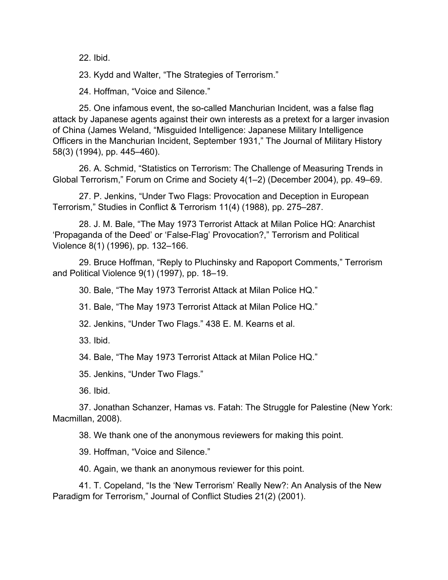22. Ibid.

23. Kydd and Walter, "The Strategies of Terrorism."

24. Hoffman, "Voice and Silence."

25. One infamous event, the so-called Manchurian Incident, was a false flag attack by Japanese agents against their own interests as a pretext for a larger invasion of China (James Weland, "Misguided Intelligence: Japanese Military Intelligence Officers in the Manchurian Incident, September 1931," The Journal of Military History 58(3) (1994), pp. 445–460).

26. A. Schmid, "Statistics on Terrorism: The Challenge of Measuring Trends in Global Terrorism," Forum on Crime and Society 4(1–2) (December 2004), pp. 49–69.

27. P. Jenkins, "Under Two Flags: Provocation and Deception in European Terrorism," Studies in Conflict & Terrorism 11(4) (1988), pp. 275–287.

28. J. M. Bale, "The May 1973 Terrorist Attack at Milan Police HQ: Anarchist 'Propaganda of the Deed' or 'False-Flag' Provocation?," Terrorism and Political Violence 8(1) (1996), pp. 132–166.

29. Bruce Hoffman, "Reply to Pluchinsky and Rapoport Comments," Terrorism and Political Violence 9(1) (1997), pp. 18–19.

30. Bale, "The May 1973 Terrorist Attack at Milan Police HQ."

31. Bale, "The May 1973 Terrorist Attack at Milan Police HQ."

32. Jenkins, "Under Two Flags." 438 E. M. Kearns et al.

33. Ibid.

34. Bale, "The May 1973 Terrorist Attack at Milan Police HQ."

35. Jenkins, "Under Two Flags."

36. Ibid.

37. Jonathan Schanzer, Hamas vs. Fatah: The Struggle for Palestine (New York: Macmillan, 2008).

38. We thank one of the anonymous reviewers for making this point.

39. Hoffman, "Voice and Silence."

40. Again, we thank an anonymous reviewer for this point.

41. T. Copeland, "Is the 'New Terrorism' Really New?: An Analysis of the New Paradigm for Terrorism," Journal of Conflict Studies 21(2) (2001).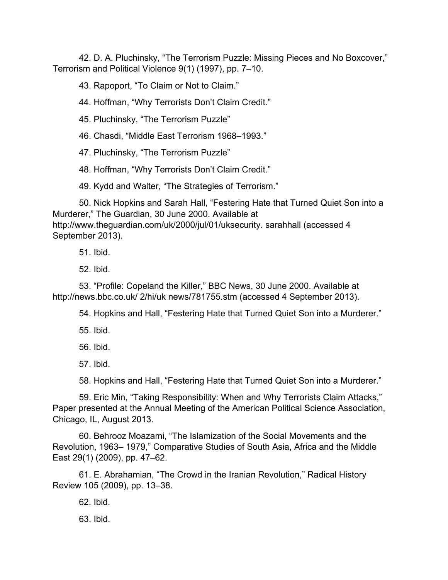42. D. A. Pluchinsky, "The Terrorism Puzzle: Missing Pieces and No Boxcover," Terrorism and Political Violence 9(1) (1997), pp. 7–10.

43. Rapoport, "To Claim or Not to Claim."

44. Hoffman, "Why Terrorists Don't Claim Credit."

45. Pluchinsky, "The Terrorism Puzzle"

46. Chasdi, "Middle East Terrorism 1968–1993."

47. Pluchinsky, "The Terrorism Puzzle"

48. Hoffman, "Why Terrorists Don't Claim Credit."

49. Kydd and Walter, "The Strategies of Terrorism."

50. Nick Hopkins and Sarah Hall, "Festering Hate that Turned Quiet Son into a Murderer," The Guardian, 30 June 2000. Available at http://www.theguardian.com/uk/2000/jul/01/uksecurity. sarahhall (accessed 4 September 2013).

51. Ibid.

52. Ibid.

53. "Profile: Copeland the Killer," BBC News, 30 June 2000. Available at http://news.bbc.co.uk/ 2/hi/uk news/781755.stm (accessed 4 September 2013).

54. Hopkins and Hall, "Festering Hate that Turned Quiet Son into a Murderer."

55. Ibid.

56. Ibid.

57. Ibid.

58. Hopkins and Hall, "Festering Hate that Turned Quiet Son into a Murderer."

59. Eric Min, "Taking Responsibility: When and Why Terrorists Claim Attacks," Paper presented at the Annual Meeting of the American Political Science Association, Chicago, IL, August 2013.

60. Behrooz Moazami, "The Islamization of the Social Movements and the Revolution, 1963– 1979," Comparative Studies of South Asia, Africa and the Middle East 29(1) (2009), pp. 47–62.

61. E. Abrahamian, "The Crowd in the Iranian Revolution," Radical History Review 105 (2009), pp. 13–38.

62. Ibid.

63. Ibid.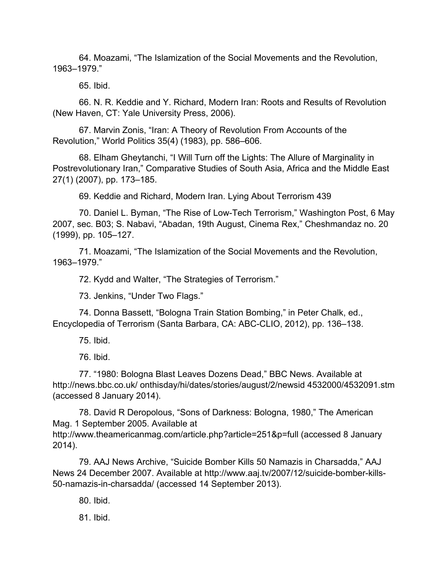64. Moazami, "The Islamization of the Social Movements and the Revolution, 1963–1979."

65. Ibid.

66. N. R. Keddie and Y. Richard, Modern Iran: Roots and Results of Revolution (New Haven, CT: Yale University Press, 2006).

67. Marvin Zonis, "Iran: A Theory of Revolution From Accounts of the Revolution," World Politics 35(4) (1983), pp. 586–606.

68. Elham Gheytanchi, "I Will Turn off the Lights: The Allure of Marginality in Postrevolutionary Iran," Comparative Studies of South Asia, Africa and the Middle East 27(1) (2007), pp. 173–185.

69. Keddie and Richard, Modern Iran. Lying About Terrorism 439

70. Daniel L. Byman, "The Rise of Low-Tech Terrorism," Washington Post, 6 May 2007, sec. B03; S. Nabavi, "Abadan, 19th August, Cinema Rex," Cheshmandaz no. 20 (1999), pp. 105–127.

71. Moazami, "The Islamization of the Social Movements and the Revolution, 1963–1979."

72. Kydd and Walter, "The Strategies of Terrorism."

73. Jenkins, "Under Two Flags."

74. Donna Bassett, "Bologna Train Station Bombing," in Peter Chalk, ed., Encyclopedia of Terrorism (Santa Barbara, CA: ABC-CLIO, 2012), pp. 136–138.

75. Ibid.

76. Ibid.

77. "1980: Bologna Blast Leaves Dozens Dead," BBC News. Available at http://news.bbc.co.uk/ onthisday/hi/dates/stories/august/2/newsid 4532000/4532091.stm (accessed 8 January 2014).

78. David R Deropolous, "Sons of Darkness: Bologna, 1980," The American Mag. 1 September 2005. Available at http://www.theamericanmag.com/article.php?article=251&p=full (accessed 8 January 2014).

79. AAJ News Archive, "Suicide Bomber Kills 50 Namazis in Charsadda," AAJ News 24 December 2007. Available at http://www.aaj.tv/2007/12/suicide-bomber-kills-50-namazis-in-charsadda/ (accessed 14 September 2013).

80. Ibid.

81. Ibid.